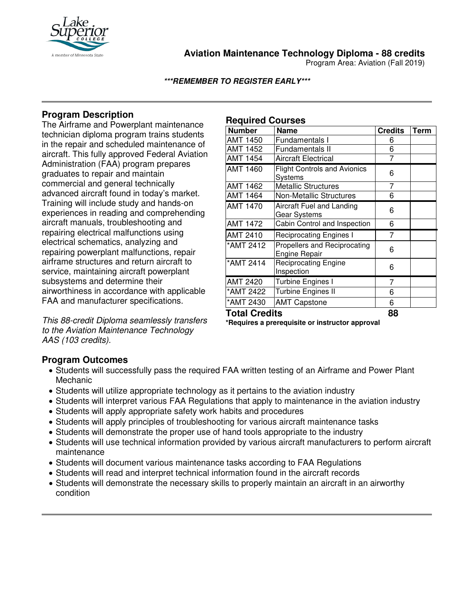

**Aviation Maintenance Technology Diploma - 88 credits**

Program Area: Aviation (Fall 2019)

**\*\*\*REMEMBER TO REGISTER EARLY\*\*\***

# **Program Description**

The Airframe and Powerplant maintenance technician diploma program trains students in the repair and scheduled maintenance of aircraft. This fully approved Federal Aviation Administration (FAA) program prepares graduates to repair and maintain commercial and general technically advanced aircraft found in today's market. Training will include study and hands-on experiences in reading and comprehending aircraft manuals, troubleshooting and repairing electrical malfunctions using electrical schematics, analyzing and repairing powerplant malfunctions, repair airframe structures and return aircraft to service, maintaining aircraft powerplant subsystems and determine their airworthiness in accordance with applicable FAA and manufacturer specifications.

*This 88-credit Diploma seamlessly transfers to the Aviation Maintenance Technology AAS (103 credits).*

### **Required Courses**

| <b>Number</b>        | <b>Name</b>                                          | <b>Credits</b> | <b>Term</b> |
|----------------------|------------------------------------------------------|----------------|-------------|
| <b>AMT 1450</b>      | Fundamentals I                                       | 6              |             |
| <b>AMT 1452</b>      | Fundamentals II                                      | 6              |             |
| AMT 1454             | <b>Aircraft Electrical</b>                           | 7              |             |
| AMT 1460             | <b>Flight Controls and Avionics</b><br>Systems       | 6              |             |
| <b>AMT 1462</b>      | <b>Metallic Structures</b>                           | 7              |             |
| AMT 1464             | <b>Non-Metallic Structures</b>                       | 6              |             |
| <b>AMT 1470</b>      | Aircraft Fuel and Landing<br>Gear Systems            | 6              |             |
| AMT 1472             | Cabin Control and Inspection                         | 6              |             |
| AMT 2410             | <b>Reciprocating Engines I</b>                       | 7              |             |
| *AMT 2412            | Propellers and Reciprocating<br><b>Engine Repair</b> | 6              |             |
| *AMT 2414            | <b>Reciprocating Engine</b><br>Inspection            | 6              |             |
| <b>AMT 2420</b>      | Turbine Engines I                                    | 7              |             |
| *AMT 2422            | <b>Turbine Engines II</b>                            | 6              |             |
| *AMT 2430            | <b>AMT Capstone</b>                                  | 6              |             |
| <b>Total Credits</b> |                                                      | 88             |             |

**\*Requires a prerequisite or instructor approval**

**Program Outcomes**

- Students will successfully pass the required FAA written testing of an Airframe and Power Plant Mechanic
- Students will utilize appropriate technology as it pertains to the aviation industry
- Students will interpret various FAA Regulations that apply to maintenance in the aviation industry
- Students will apply appropriate safety work habits and procedures
- Students will apply principles of troubleshooting for various aircraft maintenance tasks
- Students will demonstrate the proper use of hand tools appropriate to the industry
- Students will use technical information provided by various aircraft manufacturers to perform aircraft maintenance
- Students will document various maintenance tasks according to FAA Regulations
- Students will read and interpret technical information found in the aircraft records
- Students will demonstrate the necessary skills to properly maintain an aircraft in an airworthy condition